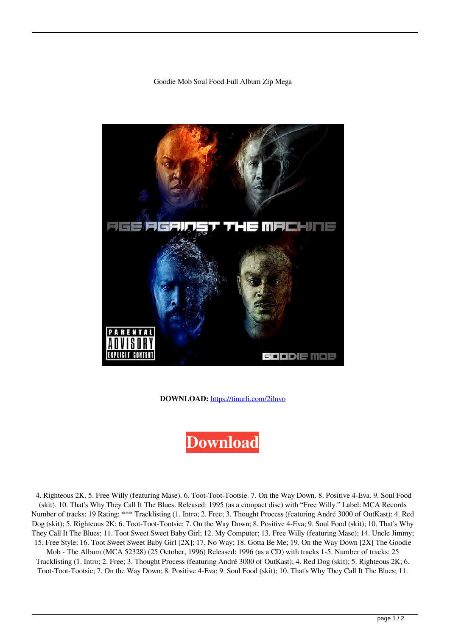## Goodie Mob Soul Food Full Album Zip Mega



**DOWNLOAD:** <https://tinurli.com/2ilnvo>

**[Download](https://tinurli.com/2ilnvo)**

 4. Righteous 2K. 5. Free Willy (featuring Mase). 6. Toot-Toot-Tootsie. 7. On the Way Down. 8. Positive 4-Eva. 9. Soul Food (skit). 10. That's Why They Call It The Blues. Released: 1995 (as a compact disc) with "Free Willy." Label: MCA Records Number of tracks: 19 Rating: \*\*\* Tracklisting (1. Intro; 2. Free; 3. Thought Process (featuring André 3000 of OutKast); 4. Red Dog (skit); 5. Righteous 2K; 6. Toot-Toot-Tootsie; 7. On the Way Down; 8. Positive 4-Eva; 9. Soul Food (skit); 10. That's Why They Call It The Blues; 11. Toot Sweet Sweet Baby Girl; 12. My Computer; 13. Free Willy (featuring Mase); 14. Uncle Jimmy; 15. Free Style; 16. Toot Sweet Sweet Baby Girl [2X]; 17. No Way; 18. Gotta Be Me; 19. On the Way Down [2X] The Goodie

Mob - The Album (MCA 52328) (25 October, 1996) Released: 1996 (as a CD) with tracks 1-5. Number of tracks: 25 Tracklisting (1. Intro; 2. Free; 3. Thought Process (featuring André 3000 of OutKast); 4. Red Dog (skit); 5. Righteous 2K; 6. Toot-Toot-Tootsie; 7. On the Way Down; 8. Positive 4-Eva; 9. Soul Food (skit); 10. That's Why They Call It The Blues; 11.